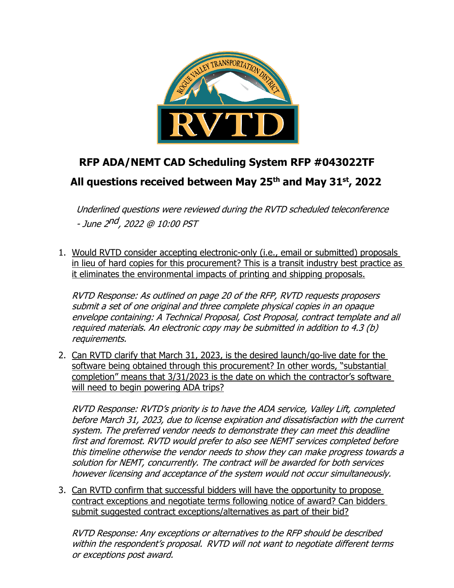

## **RFP ADA/NEMT CAD Scheduling System RFP #043022TF All questions received between May 25th and May 31st , 2022**

Underlined questions were reviewed during the RVTD scheduled teleconference - June 2nd, 2022 @ 10:00 PST

1. Would RVTD consider accepting electronic-only (i.e., email or submitted) proposals in lieu of hard copies for this procurement? This is a transit industry best practice as it eliminates the environmental impacts of printing and shipping proposals.

RVTD Response: As outlined on page 20 of the RFP, RVTD requests proposers submit a set of one original and three complete physical copies in an opaque envelope containing: A Technical Proposal, Cost Proposal, contract template and all required materials. An electronic copy may be submitted in addition to 4.3 (b) requirements.

2. Can RVTD clarify that March 31, 2023, is the desired launch/go-live date for the software being obtained through this procurement? In other words, "substantial completion" means that 3/31/2023 is the date on which the contractor's software will need to begin powering ADA trips?

RVTD Response: RVTD's priority is to have the ADA service, Valley Lift, completed before March 31, 2023, due to license expiration and dissatisfaction with the current system. The preferred vendor needs to demonstrate they can meet this deadline first and foremost. RVTD would prefer to also see NEMT services completed before this timeline otherwise the vendor needs to show they can make progress towards a solution for NEMT, concurrently. The contract will be awarded for both services however licensing and acceptance of the system would not occur simultaneously.

3. Can RVTD confirm that successful bidders will have the opportunity to propose contract exceptions and negotiate terms following notice of award? Can bidders submit suggested contract exceptions/alternatives as part of their bid?

RVTD Response: Any exceptions or alternatives to the RFP should be described within the respondent's proposal. RVTD will not want to negotiate different terms or exceptions post award.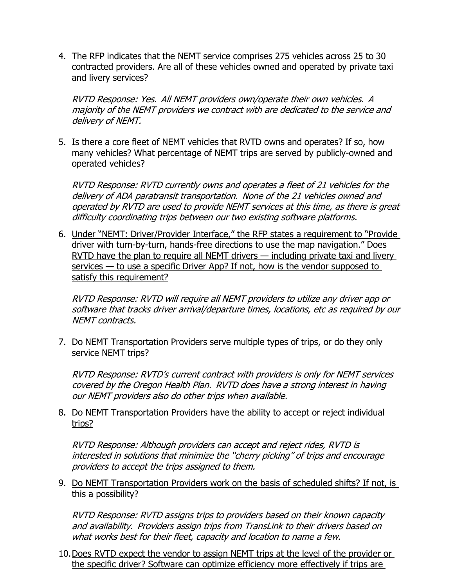4. The RFP indicates that the NEMT service comprises 275 vehicles across 25 to 30 contracted providers. Are all of these vehicles owned and operated by private taxi and livery services?

RVTD Response: Yes. All NEMT providers own/operate their own vehicles. A majority of the NEMT providers we contract with are dedicated to the service and delivery of NEMT.

5. Is there a core fleet of NEMT vehicles that RVTD owns and operates? If so, how many vehicles? What percentage of NEMT trips are served by publicly-owned and operated vehicles?

RVTD Response: RVTD currently owns and operates <sup>a</sup> fleet of 21 vehicles for the delivery of ADA paratransit transportation. None of the 21 vehicles owned and operated by RVTD are used to provide NEMT services at this time, as there is great difficulty coordinating trips between our two existing software platforms.

6. Under "NEMT: Driver/Provider Interface," the RFP states a requirement to "Provide driver with turn-by-turn, hands-free directions to use the map navigation." Does RVTD have the plan to require all NEMT drivers — including private taxi and livery services — to use a specific Driver App? If not, how is the vendor supposed to satisfy this requirement?

RVTD Response: RVTD will require all NEMT providers to utilize any driver app or software that tracks driver arrival/departure times, locations, etc as required by our NEMT contracts.

7. Do NEMT Transportation Providers serve multiple types of trips, or do they only service NEMT trips?

RVTD Response: RVTD's current contract with providers is only for NEMT services covered by the Oregon Health Plan. RVTD does have <sup>a</sup> strong interest in having our NEMT providers also do other trips when available.

8. Do NEMT Transportation Providers have the ability to accept or reject individual trips?

RVTD Response: Although providers can accept and reject rides, RVTD is interested in solutions that minimize the "cherry picking" of trips and encourage providers to accept the trips assigned to them.

9. Do NEMT Transportation Providers work on the basis of scheduled shifts? If not, is this a possibility?

RVTD Response: RVTD assigns trips to providers based on their known capacity and availability. Providers assign trips from TransLink to their drivers based on what works best for their fleet, capacity and location to name a few.

10.Does RVTD expect the vendor to assign NEMT trips at the level of the provider or the specific driver? Software can optimize efficiency more effectively if trips are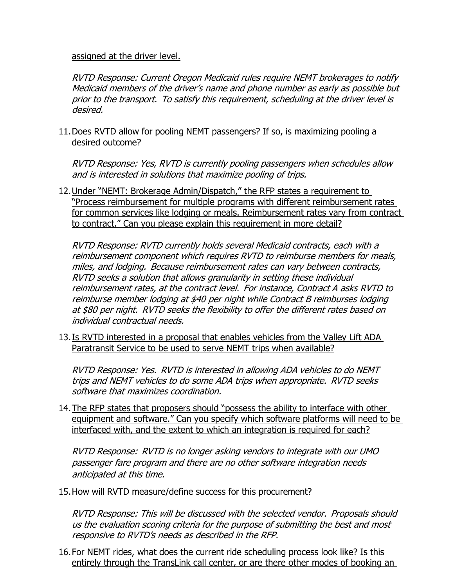assigned at the driver level.

RVTD Response: Current Oregon Medicaid rules require NEMT brokerages to notify Medicaid members of the driver's name and phone number as early as possible but prior to the transport. To satisfy this requirement, scheduling at the driver level is desired.

11.Does RVTD allow for pooling NEMT passengers? If so, is maximizing pooling a desired outcome?

RVTD Response: Yes, RVTD is currently pooling passengers when schedules allow and is interested in solutions that maximize pooling of trips.

12.Under "NEMT: Brokerage Admin/Dispatch," the RFP states a requirement to "Process reimbursement for multiple programs with different reimbursement rates for common services like lodging or meals. Reimbursement rates vary from contract to contract." Can you please explain this requirement in more detail?

RVTD Response: RVTD currently holds several Medicaid contracts, each with <sup>a</sup> reimbursement component which requires RVTD to reimburse members for meals, miles, and lodging. Because reimbursement rates can vary between contracts, RVTD seeks a solution that allows granularity in setting these individual reimbursement rates, at the contract level. For instance, Contract A asks RVTD to reimburse member lodging at \$40 per night while Contract B reimburses lodging at \$80 per night. RVTD seeks the flexibility to offer the different rates based on individual contractual needs.

13.Is RVTD interested in a proposal that enables vehicles from the Valley Lift ADA Paratransit Service to be used to serve NEMT trips when available?

RVTD Response: Yes. RVTD is interested in allowing ADA vehicles to do NEMT trips and NEMT vehicles to do some ADA trips when appropriate. RVTD seeks software that maximizes coordination.

14.The RFP states that proposers should "possess the ability to interface with other equipment and software." Can you specify which software platforms will need to be interfaced with, and the extent to which an integration is required for each?

RVTD Response: RVTD is no longer asking vendors to integrate with our UMO passenger fare program and there are no other software integration needs anticipated at this time.

15.How will RVTD measure/define success for this procurement?

RVTD Response: This will be discussed with the selected vendor. Proposals should us the evaluation scoring criteria for the purpose of submitting the best and most responsive to RVTD's needs as described in the RFP.

16. For NEMT rides, what does the current ride scheduling process look like? Is this entirely through the TransLink call center, or are there other modes of booking an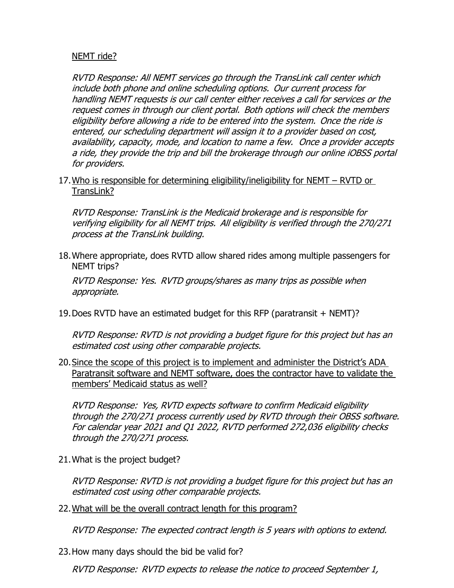## NEMT ride?

RVTD Response: All NEMT services go through the TransLink call center which include both phone and online scheduling options. Our current process for handling NEMT requests is our call center either receives <sup>a</sup> call for services or the request comes in through our client portal. Both options will check the members eligibility before allowing a ride to be entered into the system. Once the ride is entered, our scheduling department will assign it to a provider based on cost, availability, capacity, mode, and location to name a few. Once a provider accepts a ride, they provide the trip and bill the brokerage through our online iOBSS portal for providers.

17.Who is responsible for determining eligibility/ineligibility for NEMT – RVTD or TransLink?

RVTD Response: TransLink is the Medicaid brokerage and is responsible for verifying eligibility for all NEMT trips. All eligibility is verified through the 270/271 process at the TransLink building.

18.Where appropriate, does RVTD allow shared rides among multiple passengers for NEMT trips?

RVTD Response: Yes. RVTD groups/shares as many trips as possible when appropriate.

19.Does RVTD have an estimated budget for this RFP (paratransit + NEMT)?

RVTD Response: RVTD is not providing <sup>a</sup> budget figure for this project but has an estimated cost using other comparable projects.

20.Since the scope of this project is to implement and administer the District's ADA Paratransit software and NEMT software, does the contractor have to validate the members' Medicaid status as well?

RVTD Response: Yes, RVTD expects software to confirm Medicaid eligibility through the 270/271 process currently used by RVTD through their OBSS software. For calendar year 2021 and Q1 2022, RVTD performed 272,036 eligibility checks through the 270/271 process.

21.What is the project budget?

RVTD Response: RVTD is not providing <sup>a</sup> budget figure for this project but has an estimated cost using other comparable projects.

22.What will be the overall contract length for this program?

RVTD Response: The expected contract length is 5 years with options to extend.

23.How many days should the bid be valid for?

RVTD Response: RVTD expects to release the notice to proceed September 1,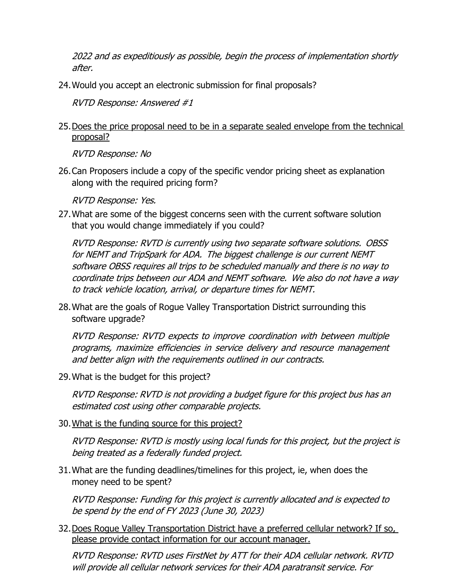2022 and as expeditiously as possible, begin the process of implementation shortly after.

24.Would you accept an electronic submission for final proposals?

RVTD Response: Answered #1

25.Does the price proposal need to be in a separate sealed envelope from the technical proposal?

RVTD Response: No

26.Can Proposers include a copy of the specific vendor pricing sheet as explanation along with the required pricing form?

RVTD Response: Yes.

27.What are some of the biggest concerns seen with the current software solution that you would change immediately if you could?

RVTD Response: RVTD is currently using two separate software solutions. OBSS for NEMT and TripSpark for ADA. The biggest challenge is our current NEMT software OBSS requires all trips to be scheduled manually and there is no way to coordinate trips between our ADA and NEMT software. We also do not have a way to track vehicle location, arrival, or departure times for NEMT.

28.What are the goals of Rogue Valley Transportation District surrounding this software upgrade?

RVTD Response: RVTD expects to improve coordination with between multiple programs, maximize efficiencies in service delivery and resource management and better align with the requirements outlined in our contracts.

29.What is the budget for this project?

RVTD Response: RVTD is not providing <sup>a</sup> budget figure for this project bus has an estimated cost using other comparable projects.

30.What is the funding source for this project?

RVTD Response: RVTD is mostly using local funds for this project, but the project is being treated as a federally funded project.

31.What are the funding deadlines/timelines for this project, ie, when does the money need to be spent?

RVTD Response: Funding for this project is currently allocated and is expected to be spend by the end of FY 2023 (June 30, 2023)

32.Does Rogue Valley Transportation District have a preferred cellular network? If so, please provide contact information for our account manager.

RVTD Response: RVTD uses FirstNet by ATT for their ADA cellular network. RVTD will provide all cellular network services for their ADA paratransit service. For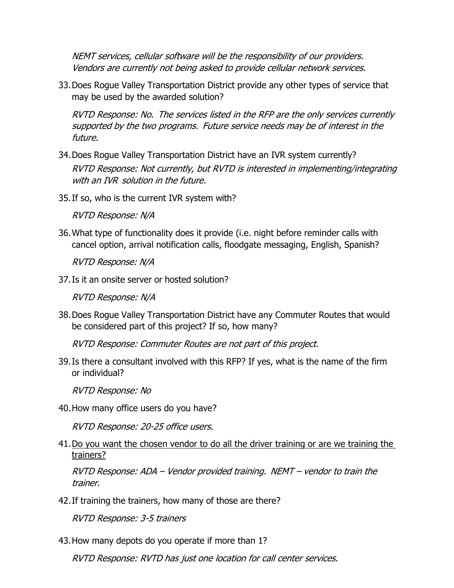NEMT services, cellular software will be the responsibility of our providers. Vendors are currently not being asked to provide cellular network services.

33.Does Rogue Valley Transportation District provide any other types of service that may be used by the awarded solution?

RVTD Response: No. The services listed in the RFP are the only services currently supported by the two programs. Future service needs may be of interest in the future.

- 34.Does Rogue Valley Transportation District have an IVR system currently? RVTD Response: Not currently, but RVTD is interested in implementing/integrating with an IVR solution in the future.
- 35.If so, who is the current IVR system with?

RVTD Response: N/A

36.What type of functionality does it provide (i.e. night before reminder calls with cancel option, arrival notification calls, floodgate messaging, English, Spanish?

RVTD Response: N/A

37.Is it an onsite server or hosted solution?

RVTD Response: N/A

38.Does Rogue Valley Transportation District have any Commuter Routes that would be considered part of this project? If so, how many?

RVTD Response: Commuter Routes are not part of this project.

39.Is there a consultant involved with this RFP? If yes, what is the name of the firm or individual?

RVTD Response: No

40.How many office users do you have?

RVTD Response: 20-25 office users.

41.Do you want the chosen vendor to do all the driver training or are we training the trainers?

RVTD Response: ADA – Vendor provided training. NEMT – vendor to train the trainer.

42.If training the trainers, how many of those are there?

RVTD Response: 3-5 trainers

43.How many depots do you operate if more than 1?

RVTD Response: RVTD has just one location for call center services.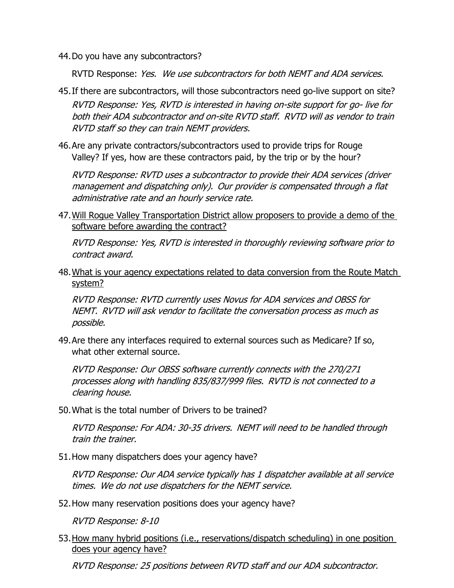44.Do you have any subcontractors?

RVTD Response: Yes. We use subcontractors for both NEMT and ADA services.

- 45.If there are subcontractors, will those subcontractors need go-live support on site? RVTD Response: Yes, RVTD is interested in having on-site support for go- live for both their ADA subcontractor and on-site RVTD staff. RVTD will as vendor to train RVTD staff so they can train NEMT providers.
- 46.Are any private contractors/subcontractors used to provide trips for Rouge Valley? If yes, how are these contractors paid, by the trip or by the hour?

RVTD Response: RVTD uses <sup>a</sup> subcontractor to provide their ADA services (driver management and dispatching only). Our provider is compensated through a flat administrative rate and an hourly service rate.

47.Will Rogue Valley Transportation District allow proposers to provide a demo of the software before awarding the contract?

RVTD Response: Yes, RVTD is interested in thoroughly reviewing software prior to contract award.

48.What is your agency expectations related to data conversion from the Route Match system?

RVTD Response: RVTD currently uses Novus for ADA services and OBSS for NEMT. RVTD will ask vendor to facilitate the conversation process as much as possible.

49.Are there any interfaces required to external sources such as Medicare? If so, what other external source.

RVTD Response: Our OBSS software currently connects with the 270/271 processes along with handling 835/837/999 files. RVTD is not connected to <sup>a</sup> clearing house.

50.What is the total number of Drivers to be trained?

RVTD Response: For ADA: 30-35 drivers. NEMT will need to be handled through train the trainer.

51.How many dispatchers does your agency have?

RVTD Response: Our ADA service typically has 1 dispatcher available at all service times. We do not use dispatchers for the NEMT service.

52.How many reservation positions does your agency have?

RVTD Response: 8-10

53.How many hybrid positions (i.e., reservations/dispatch scheduling) in one position does your agency have?

RVTD Response: 25 positions between RVTD staff and our ADA subcontractor.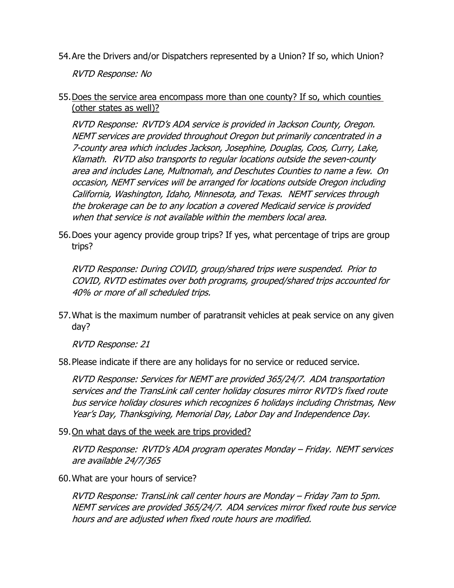54.Are the Drivers and/or Dispatchers represented by a Union? If so, which Union?

RVTD Response: No

55.Does the service area encompass more than one county? If so, which counties (other states as well)?

RVTD Response: RVTD's ADA service is provided in Jackson County, Oregon. NEMT services are provided throughout Oregon but primarily concentrated in <sup>a</sup> 7-county area which includes Jackson, Josephine, Douglas, Coos, Curry, Lake, Klamath. RVTD also transports to regular locations outside the seven-county area and includes Lane, Multnomah, and Deschutes Counties to name <sup>a</sup> few. On occasion, NEMT services will be arranged for locations outside Oregon including California, Washington, Idaho, Minnesota, and Texas. NEMT services through the brokerage can be to any location a covered Medicaid service is provided when that service is not available within the members local area.

56.Does your agency provide group trips? If yes, what percentage of trips are group trips?

RVTD Response: During COVID, group/shared trips were suspended. Prior to COVID, RVTD estimates over both programs, grouped/shared trips accounted for 40% or more of all scheduled trips.

57.What is the maximum number of paratransit vehicles at peak service on any given day?

RVTD Response: 21

58.Please indicate if there are any holidays for no service or reduced service.

RVTD Response: Services for NEMT are provided 365/24/7. ADA transportation services and the TransLink call center holiday closures mirror RVTD's fixed route bus service holiday closures which recognizes 6 holidays including Christmas, New Year's Day, Thanksgiving, Memorial Day, Labor Day and Independence Day.

59.On what days of the week are trips provided?

RVTD Response: RVTD's ADA program operates Monday – Friday. NEMT services are available 24/7/365

60.What are your hours of service?

RVTD Response: TransLink call center hours are Monday – Friday 7am to 5pm. NEMT services are provided 365/24/7. ADA services mirror fixed route bus service hours and are adjusted when fixed route hours are modified.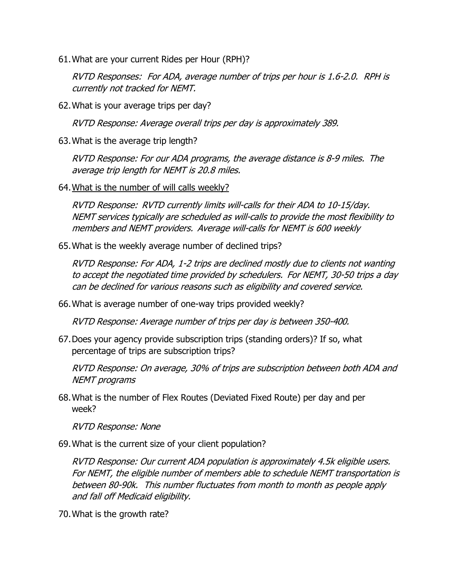61.What are your current Rides per Hour (RPH)?

RVTD Responses: For ADA, average number of trips per hour is 1.6-2.0. RPH is currently not tracked for NEMT.

62.What is your average trips per day?

RVTD Response: Average overall trips per day is approximately 389.

63.What is the average trip length?

RVTD Response: For our ADA programs, the average distance is 8-9 miles. The average trip length for NEMT is 20.8 miles.

64.What is the number of will calls weekly?

RVTD Response: RVTD currently limits will-calls for their ADA to 10-15/day. NEMT services typically are scheduled as will-calls to provide the most flexibility to members and NEMT providers. Average will-calls for NEMT is 600 weekly

65.What is the weekly average number of declined trips?

RVTD Response: For ADA, 1-2 trips are declined mostly due to clients not wanting to accept the negotiated time provided by schedulers. For NEMT, 30-50 trips a day can be declined for various reasons such as eligibility and covered service.

66.What is average number of one-way trips provided weekly?

RVTD Response: Average number of trips per day is between 350-400.

67.Does your agency provide subscription trips (standing orders)? If so, what percentage of trips are subscription trips?

RVTD Response: On average, 30% of trips are subscription between both ADA and NEMT programs

68.What is the number of Flex Routes (Deviated Fixed Route) per day and per week?

RVTD Response: None

69.What is the current size of your client population?

RVTD Response: Our current ADA population is approximately 4.5k eligible users. For NEMT, the eligible number of members able to schedule NEMT transportation is between 80-90k. This number fluctuates from month to month as people apply and fall off Medicaid eligibility.

70.What is the growth rate?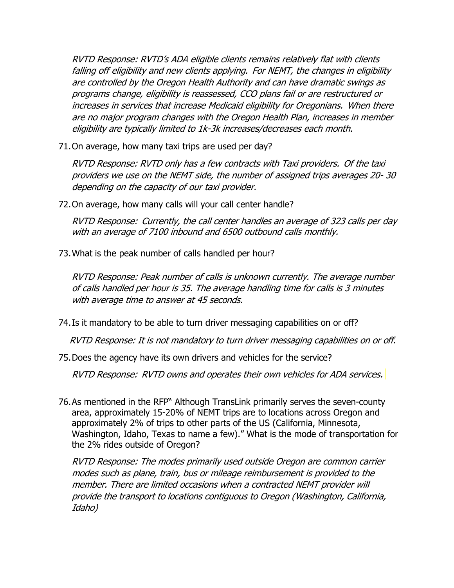RVTD Response: RVTD's ADA eligible clients remains relatively flat with clients falling off eligibility and new clients applying. For NEMT, the changes in eligibility are controlled by the Oregon Health Authority and can have dramatic swings as programs change, eligibility is reassessed, CCO plans fail or are restructured or increases in services that increase Medicaid eligibility for Oregonians. When there are no major program changes with the Oregon Health Plan, increases in member eligibility are typically limited to 1k-3k increases/decreases each month.

71.On average, how many taxi trips are used per day?

RVTD Response: RVTD only has <sup>a</sup> few contracts with Taxi providers. Of the taxi providers we use on the NEMT side, the number of assigned trips averages 20- 30 depending on the capacity of our taxi provider.

72.On average, how many calls will your call center handle?

RVTD Response: Currently, the call center handles an average of 323 calls per day with an average of 7100 inbound and 6500 outbound calls monthly.

73.What is the peak number of calls handled per hour?

RVTD Response: Peak number of calls is unknown currently. The average number of calls handled per hour is 35. The average handling time for calls is 3 minutes with average time to answer at 45 seconds.

74.Is it mandatory to be able to turn driver messaging capabilities on or off?

RVTD Response: It is not mandatory to turn driver messaging capabilities on or off.

75.Does the agency have its own drivers and vehicles for the service?

RVTD Response: RVTD owns and operates their own vehicles for ADA services.

76.As mentioned in the RFP" Although TransLink primarily serves the seven-county area, approximately 15-20% of NEMT trips are to locations across Oregon and approximately 2% of trips to other parts of the US (California, Minnesota, Washington, Idaho, Texas to name a few)." What is the mode of transportation for the 2% rides outside of Oregon?

RVTD Response: The modes primarily used outside Oregon are common carrier modes such as plane, train, bus or mileage reimbursement is provided to the member. There are limited occasions when a contracted NEMT provider will provide the transport to locations contiguous to Oregon (Washington, California, Idaho)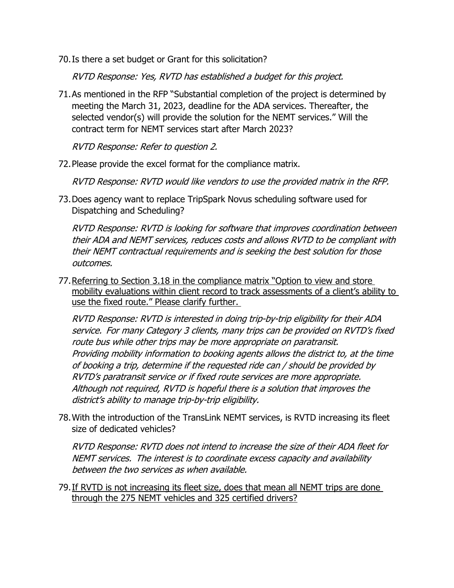70.Is there a set budget or Grant for this solicitation?

RVTD Response: Yes, RVTD has established <sup>a</sup> budget for this project.

71.As mentioned in the RFP "Substantial completion of the project is determined by meeting the March 31, 2023, deadline for the ADA services. Thereafter, the selected vendor(s) will provide the solution for the NEMT services." Will the contract term for NEMT services start after March 2023?

RVTD Response: Refer to question 2.

72.Please provide the excel format for the compliance matrix.

RVTD Response: RVTD would like vendors to use the provided matrix in the RFP.

73.Does agency want to replace TripSpark Novus scheduling software used for Dispatching and Scheduling?

RVTD Response: RVTD is looking for software that improves coordination between their ADA and NEMT services, reduces costs and allows RVTD to be compliant with their NEMT contractual requirements and is seeking the best solution for those outcomes.

77.Referring to Section 3.18 in the compliance matrix "Option to view and store mobility evaluations within client record to track assessments of a client's ability to use the fixed route." Please clarify further.

RVTD Response: RVTD is interested in doing trip-by-trip eligibility for their ADA service. For many Category 3 clients, many trips can be provided on RVTD's fixed route bus while other trips may be more appropriate on paratransit. Providing mobility information to booking agents allows the district to, at the time of booking a trip, determine if the requested ride can / should be provided by RVTD's paratransit service or if fixed route services are more appropriate. Although not required, RVTD is hopeful there is <sup>a</sup> solution that improves the district's ability to manage trip-by-trip eligibility.

78.With the introduction of the TransLink NEMT services, is RVTD increasing its fleet size of dedicated vehicles?

RVTD Response: RVTD does not intend to increase the size of their ADA fleet for NEMT services. The interest is to coordinate excess capacity and availability between the two services as when available.

79.If RVTD is not increasing its fleet size, does that mean all NEMT trips are done through the 275 NEMT vehicles and 325 certified drivers?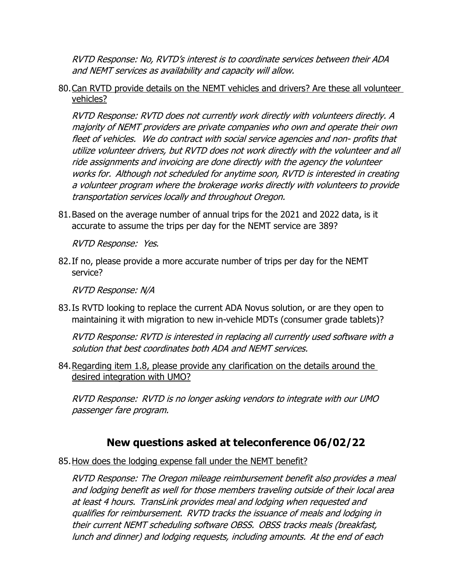RVTD Response: No, RVTD's interest is to coordinate services between their ADA and NEMT services as availability and capacity will allow.

80.Can RVTD provide details on the NEMT vehicles and drivers? Are these all volunteer vehicles?

RVTD Response: RVTD does not currently work directly with volunteers directly. A majority of NEMT providers are private companies who own and operate their own fleet of vehicles. We do contract with social service agencies and non- profits that utilize volunteer drivers, but RVTD does not work directly with the volunteer and all ride assignments and invoicing are done directly with the agency the volunteer works for. Although not scheduled for anytime soon, RVTD is interested in creating a volunteer program where the brokerage works directly with volunteers to provide transportation services locally and throughout Oregon.

81.Based on the average number of annual trips for the 2021 and 2022 data, is it accurate to assume the trips per day for the NEMT service are 389?

RVTD Response: Yes.

82.If no, please provide a more accurate number of trips per day for the NEMT service?

RVTD Response: N/A

83.Is RVTD looking to replace the current ADA Novus solution, or are they open to maintaining it with migration to new in-vehicle MDTs (consumer grade tablets)?

RVTD Response: RVTD is interested in replacing all currently used software with a solution that best coordinates both ADA and NEMT services.

84.Regarding item 1.8, please provide any clarification on the details around the desired integration with UMO?

RVTD Response: RVTD is no longer asking vendors to integrate with our UMO passenger fare program.

## **New questions asked at teleconference 06/02/22**

85. How does the lodging expense fall under the NEMT benefit?

RVTD Response: The Oregon mileage reimbursement benefit also provides a meal and lodging benefit as well for those members traveling outside of their local area at least 4 hours. TransLink provides meal and lodging when requested and qualifies for reimbursement. RVTD tracks the issuance of meals and lodging in their current NEMT scheduling software OBSS. OBSS tracks meals (breakfast, lunch and dinner) and lodging requests, including amounts. At the end of each